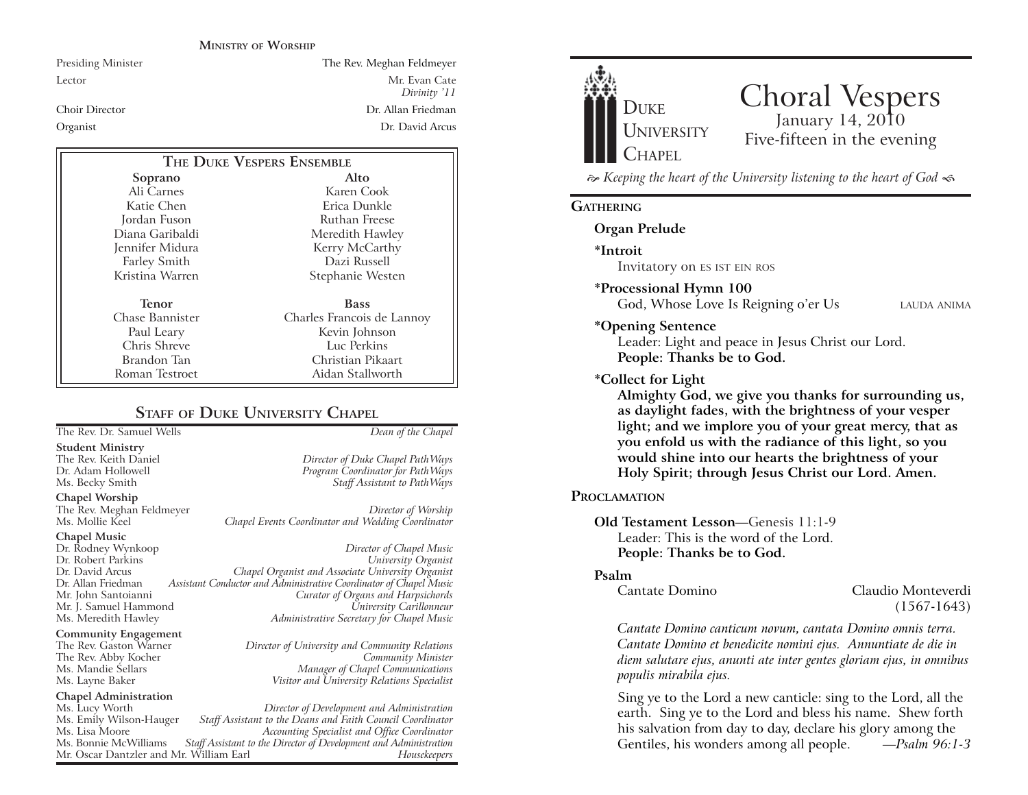#### **MINISTRY OF WORSHIP**

Presiding Minister The Rev. Meghan Feldmeyer

Lector Mr. Evan Cate *Divinity '11* Choir Director Dr. Allan FriedmanOrganist Dr. David Arcus

Staff Assistant to PathWays

Mr. John Santoianni *Curator of Organs and Harpsichords*

Ms. Meredith Hawley *Administrative Secretary for Chapel Music*

Ms. Layne Baker *Visitor and University Relations Specialist*

The Rev. Gaston Warner *Director of University and Community Relations*

Chapel Events Coordinator and Wedding Coordinator

| THE DUKE VESPERS ENSEMBLE |                            |
|---------------------------|----------------------------|
| Soprano                   | Alto                       |
| Ali Carnes                | Karen Cook                 |
| Katie Chen                | Erica Dunkle               |
| Jordan Fuson              | Ruthan Freese              |
| Diana Garibaldi           | Meredith Hawley            |
| Jennifer Midura           | Kerry McCarthy             |
| Farley Smith              | Dazi Russell               |
| Kristina Warren           | Stephanie Westen           |
| Tenor                     | <b>Bass</b>                |
| Chase Bannister           | Charles Francois de Lannoy |
| Paul Leary                | Kevin Johnson              |
| Chris Shreve              | Luc Perkins                |
| Brandon Tan               | Christian Pikaart          |
| Roman Testroet            | Aidan Stallworth           |

# **STAFF OF DUKE UNIVERSITY CHAPEL**

The Rev. Dr. Samuel Wells *Dean of the Chapel* **Student Ministry** The Rev. Keith Daniel *Director of Duke Chapel PathWays* Dr. Adam Hollowell *Program Coordinator for PathWays*

**Chapel Worship** The Rev. Meghan Feldmeyer *Director of Worship*

**Chapel Music** Dr. Rodney Wynkoop *Director of Chapel Music* Dr. Robert Parkins *University Organist* Dr. David Arcus *Chapel Organist and Associate University Organist* Dr. Allan Friedman *Assistant Conductor and Administrative Coordinator of Chapel Music* Mr. J. Samuel Hammond<br>Ms. Meredith Hawley

**Community Engagement** The Rev. Abby Kocher *Ms. Mandie Sellars* Ms. Mandie Sellars *Manager of Chapel Communications*

**Chapel Administration**  Ms. Lucy Worth *Director of Development and Administration* Ms. Emily Wilson-Hauger *Staff Assistant to the Deans and Faith Council Coordinator* Ms. Lisa Moore *Accounting Specialist and Office Coordinator Staff Assistant to the Director of Development and Administration*<br>Mulliam Earl **Mulliam** *Barl* Mr. Oscar Dantzler and Mr. William Earl *Housekeepers*



# Choral Vespers January 14, 2010 Five-fifteen in the evening

 *Keeping the heart of the University listening to the heart of God* 

# **GATHERING**

# **Organ Prelude**

**\*Introit** 

Invitatory on ES IST EIN ROS

### **\*Processional Hymn 100**

God, Whose Love Is Reigning o'er Us LAUDA ANIMA

### **\*Opening Sentence**

Leader: Light and peace in Jesus Christ our Lord. **People: Thanks be to God.**

#### **\*Collect for Light**

**Almighty God, we give you thanks for surrounding us, as daylight fades, with the brightness of your vesper light; and we implore you of your great mercy, that as you enfold us with the radiance of this light, so you would shine into our hearts the brightness of your Holy Spirit; through Jesus Christ our Lord. Amen.** 

### **PROCLAMATION**

**Old Testament Lesson**—Genesis 11:1-9 Leader: This is the word of the Lord.**People: Thanks be to God.**

#### **Psalm**

Cantate Domino Claudio Monteverdi (1567-1643)

*Cantate Domino canticum novum, cantata Domino omnis terra. Cantate Domino et benedicite nomini ejus. Annuntiate de die in diem salutare ejus, anunti ate inter gentes gloriam ejus, in omnibus populis mirabila ejus.*

Sing ye to the Lord a new canticle: sing to the Lord, all the earth. Sing ye to the Lord and bless his name. Shew forth his salvation from day to day, declare his glory among the Gentiles, his wonders among all people. *—Psalm 96:1-3*